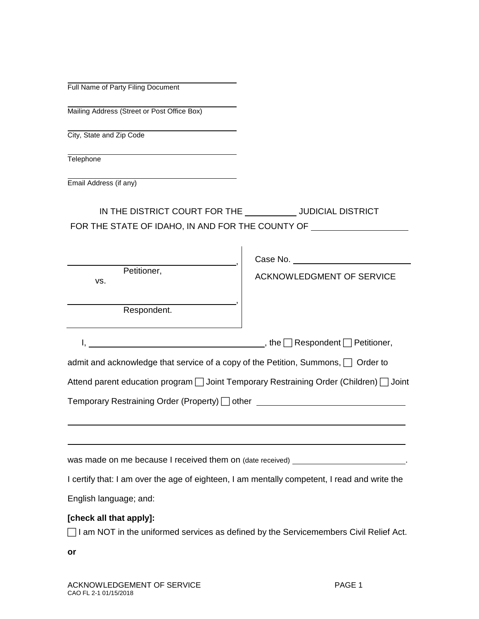|  |  | Full Name of Party Filing Document |
|--|--|------------------------------------|
|  |  |                                    |

Mailing Address (Street or Post Office Box)

City, State and Zip Code

**Telephone** 

Email Address (if any)

IN THE DISTRICT COURT FOR THE \_\_\_\_\_\_\_\_\_\_\_JUDICIAL DISTRICT FOR THE STATE OF IDAHO, IN AND FOR THE COUNTY OF \_\_\_\_\_\_\_\_\_\_\_\_\_\_\_\_\_\_\_\_\_\_\_\_\_\_\_\_\_\_\_

| Petitioner,<br>VS.                                                                                                      | <b>ACKNOWLEDGMENT OF SERVICE</b> |
|-------------------------------------------------------------------------------------------------------------------------|----------------------------------|
| Respondent.                                                                                                             |                                  |
|                                                                                                                         |                                  |
| admit and acknowledge that service of a copy of the Petition, Summons, □ Order to                                       |                                  |
| Attend parent education program [ Joint Temporary Restraining Order (Children) [ Joint                                  |                                  |
| Temporary Restraining Order (Property) □ other ________________________________                                         |                                  |
|                                                                                                                         |                                  |
| was made on me because I received them on (date received) example and the matter of the state of the state of           |                                  |
| I certify that: I am over the age of eighteen, I am mentally competent, I read and write the                            |                                  |
| English language; and:                                                                                                  |                                  |
| [check all that apply]:<br>$\Box$ I am NOT in the uniformed services as defined by the Servicemembers Civil Relief Act. |                                  |
| or                                                                                                                      |                                  |